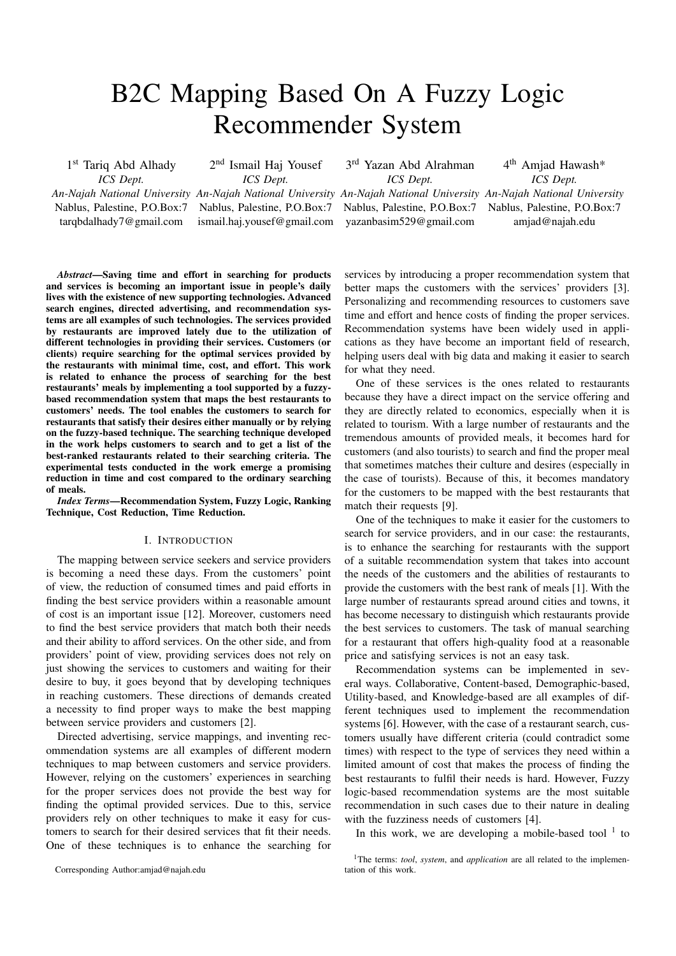# B2C Mapping Based On A Fuzzy Logic Recommender System

1<sup>st</sup> Tariq Abd Alhady *ICS Dept.* Nablus, Palestine, P.O.Box:7

tarqbdalhady7@gmail.com

2<sup>nd</sup> Ismail Haj Yousef *ICS Dept.*

Nablus, Palestine, P.O.Box:7

3<sup>rd</sup> Yazan Abd Alrahman *ICS Dept.*

ismail.haj.yousef@gmail.com Nablus, Palestine, P.O.Box:7 yazanbasim529@gmail.com

*An-Najah National University An-Najah National University An-Najah National University An-Najah National University* 4<sup>th</sup> Amjad Hawash\* *ICS Dept.* Nablus, Palestine, P.O.Box:7 amjad@najah.edu

*Abstract*—Saving time and effort in searching for products and services is becoming an important issue in people's daily lives with the existence of new supporting technologies. Advanced search engines, directed advertising, and recommendation systems are all examples of such technologies. The services provided by restaurants are improved lately due to the utilization of different technologies in providing their services. Customers (or clients) require searching for the optimal services provided by the restaurants with minimal time, cost, and effort. This work is related to enhance the process of searching for the best restaurants' meals by implementing a tool supported by a fuzzybased recommendation system that maps the best restaurants to customers' needs. The tool enables the customers to search for restaurants that satisfy their desires either manually or by relying on the fuzzy-based technique. The searching technique developed in the work helps customers to search and to get a list of the best-ranked restaurants related to their searching criteria. The experimental tests conducted in the work emerge a promising reduction in time and cost compared to the ordinary searching of meals.

*Index Terms*—Recommendation System, Fuzzy Logic, Ranking Technique, Cost Reduction, Time Reduction.

#### I. INTRODUCTION

The mapping between service seekers and service providers is becoming a need these days. From the customers' point of view, the reduction of consumed times and paid efforts in finding the best service providers within a reasonable amount of cost is an important issue [12]. Moreover, customers need to find the best service providers that match both their needs and their ability to afford services. On the other side, and from providers' point of view, providing services does not rely on just showing the services to customers and waiting for their desire to buy, it goes beyond that by developing techniques in reaching customers. These directions of demands created a necessity to find proper ways to make the best mapping between service providers and customers [2].

Directed advertising, service mappings, and inventing recommendation systems are all examples of different modern techniques to map between customers and service providers. However, relying on the customers' experiences in searching for the proper services does not provide the best way for finding the optimal provided services. Due to this, service providers rely on other techniques to make it easy for customers to search for their desired services that fit their needs. One of these techniques is to enhance the searching for

Corresponding Author:amjad@najah.edu

services by introducing a proper recommendation system that better maps the customers with the services' providers [3]. Personalizing and recommending resources to customers save time and effort and hence costs of finding the proper services. Recommendation systems have been widely used in applications as they have become an important field of research, helping users deal with big data and making it easier to search for what they need.

One of these services is the ones related to restaurants because they have a direct impact on the service offering and they are directly related to economics, especially when it is related to tourism. With a large number of restaurants and the tremendous amounts of provided meals, it becomes hard for customers (and also tourists) to search and find the proper meal that sometimes matches their culture and desires (especially in the case of tourists). Because of this, it becomes mandatory for the customers to be mapped with the best restaurants that match their requests [9].

One of the techniques to make it easier for the customers to search for service providers, and in our case: the restaurants, is to enhance the searching for restaurants with the support of a suitable recommendation system that takes into account the needs of the customers and the abilities of restaurants to provide the customers with the best rank of meals [1]. With the large number of restaurants spread around cities and towns, it has become necessary to distinguish which restaurants provide the best services to customers. The task of manual searching for a restaurant that offers high-quality food at a reasonable price and satisfying services is not an easy task.

Recommendation systems can be implemented in several ways. Collaborative, Content-based, Demographic-based, Utility-based, and Knowledge-based are all examples of different techniques used to implement the recommendation systems [6]. However, with the case of a restaurant search, customers usually have different criteria (could contradict some times) with respect to the type of services they need within a limited amount of cost that makes the process of finding the best restaurants to fulfil their needs is hard. However, Fuzzy logic-based recommendation systems are the most suitable recommendation in such cases due to their nature in dealing with the fuzziness needs of customers [4].

In this work, we are developing a mobile-based tool  $1$  to

<sup>&</sup>lt;sup>1</sup>The terms: *tool, system,* and *application* are all related to the implementation of this work.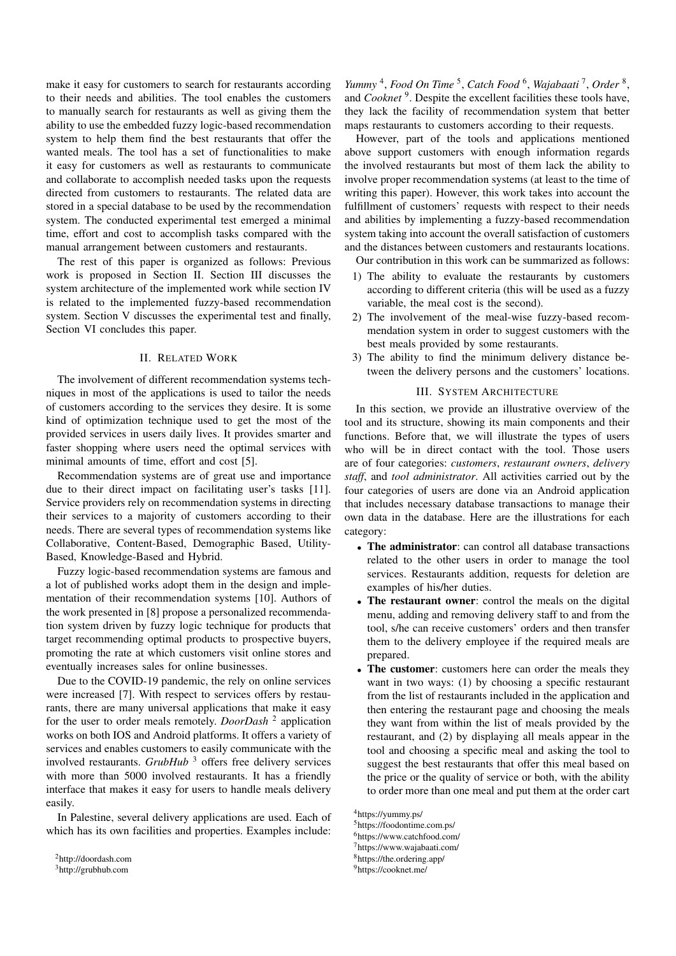make it easy for customers to search for restaurants according to their needs and abilities. The tool enables the customers to manually search for restaurants as well as giving them the ability to use the embedded fuzzy logic-based recommendation system to help them find the best restaurants that offer the wanted meals. The tool has a set of functionalities to make it easy for customers as well as restaurants to communicate and collaborate to accomplish needed tasks upon the requests directed from customers to restaurants. The related data are stored in a special database to be used by the recommendation system. The conducted experimental test emerged a minimal time, effort and cost to accomplish tasks compared with the manual arrangement between customers and restaurants.

The rest of this paper is organized as follows: Previous work is proposed in Section II. Section III discusses the system architecture of the implemented work while section IV is related to the implemented fuzzy-based recommendation system. Section V discusses the experimental test and finally, Section VI concludes this paper.

# II. RELATED WORK

The involvement of different recommendation systems techniques in most of the applications is used to tailor the needs of customers according to the services they desire. It is some kind of optimization technique used to get the most of the provided services in users daily lives. It provides smarter and faster shopping where users need the optimal services with minimal amounts of time, effort and cost [5].

Recommendation systems are of great use and importance due to their direct impact on facilitating user's tasks [11]. Service providers rely on recommendation systems in directing their services to a majority of customers according to their needs. There are several types of recommendation systems like Collaborative, Content-Based, Demographic Based, Utility-Based, Knowledge-Based and Hybrid.

Fuzzy logic-based recommendation systems are famous and a lot of published works adopt them in the design and implementation of their recommendation systems [10]. Authors of the work presented in [8] propose a personalized recommendation system driven by fuzzy logic technique for products that target recommending optimal products to prospective buyers, promoting the rate at which customers visit online stores and eventually increases sales for online businesses.

Due to the COVID-19 pandemic, the rely on online services were increased [7]. With respect to services offers by restaurants, there are many universal applications that make it easy for the user to order meals remotely. *DoorDash*<sup>2</sup> application works on both IOS and Android platforms. It offers a variety of services and enables customers to easily communicate with the involved restaurants. *GrubHub*<sup>3</sup> offers free delivery services with more than 5000 involved restaurants. It has a friendly interface that makes it easy for users to handle meals delivery easily.

In Palestine, several delivery applications are used. Each of which has its own facilities and properties. Examples include:

<sup>2</sup>http://doordash.com

<sup>3</sup>http://grubhub.com

Yummy<sup>4</sup>, *Food On Time<sup>5</sup>*, *Catch Food*<sup>6</sup>, *Wajabaati<sup>7</sup>, Order*<sup>8</sup>, and *Cooknet*<sup>9</sup>. Despite the excellent facilities these tools have, they lack the facility of recommendation system that better maps restaurants to customers according to their requests.

However, part of the tools and applications mentioned above support customers with enough information regards the involved restaurants but most of them lack the ability to involve proper recommendation systems (at least to the time of writing this paper). However, this work takes into account the fulfillment of customers' requests with respect to their needs and abilities by implementing a fuzzy-based recommendation system taking into account the overall satisfaction of customers and the distances between customers and restaurants locations.

Our contribution in this work can be summarized as follows:

- 1) The ability to evaluate the restaurants by customers according to different criteria (this will be used as a fuzzy variable, the meal cost is the second).
- 2) The involvement of the meal-wise fuzzy-based recommendation system in order to suggest customers with the best meals provided by some restaurants.
- 3) The ability to find the minimum delivery distance between the delivery persons and the customers' locations.

### III. SYSTEM ARCHITECTURE

In this section, we provide an illustrative overview of the tool and its structure, showing its main components and their functions. Before that, we will illustrate the types of users who will be in direct contact with the tool. Those users are of four categories: *customers*, *restaurant owners*, *delivery staff*, and *tool administrator*. All activities carried out by the four categories of users are done via an Android application that includes necessary database transactions to manage their own data in the database. Here are the illustrations for each category:

- The administrator: can control all database transactions related to the other users in order to manage the tool services. Restaurants addition, requests for deletion are examples of his/her duties.
- The restaurant owner: control the meals on the digital menu, adding and removing delivery staff to and from the tool, s/he can receive customers' orders and then transfer them to the delivery employee if the required meals are prepared.
- The customer: customers here can order the meals they want in two ways: (1) by choosing a specific restaurant from the list of restaurants included in the application and then entering the restaurant page and choosing the meals they want from within the list of meals provided by the restaurant, and (2) by displaying all meals appear in the tool and choosing a specific meal and asking the tool to suggest the best restaurants that offer this meal based on the price or the quality of service or both, with the ability to order more than one meal and put them at the order cart

<sup>7</sup>https://www.wajabaati.com/

<sup>4</sup>https://yummy.ps/

<sup>5</sup>https://foodontime.com.ps/

<sup>6</sup>https://www.catchfood.com/

<sup>8</sup>https://the.ordering.app/

<sup>9</sup>https://cooknet.me/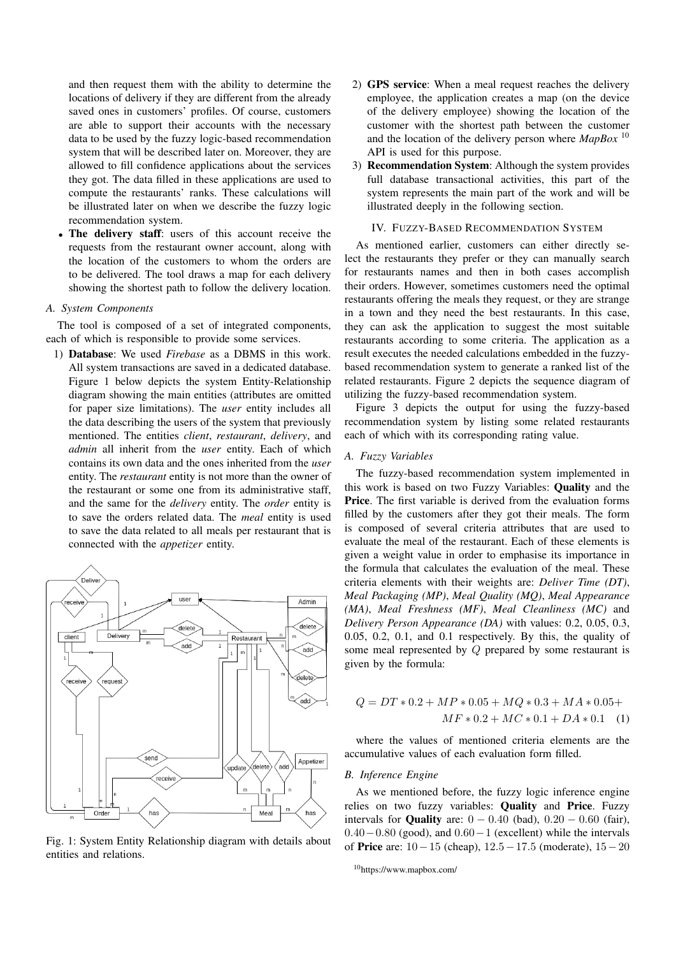and then request them with the ability to determine the locations of delivery if they are different from the already saved ones in customers' profiles. Of course, customers are able to support their accounts with the necessary data to be used by the fuzzy logic-based recommendation system that will be described later on. Moreover, they are allowed to fill confidence applications about the services they got. The data filled in these applications are used to compute the restaurants' ranks. These calculations will be illustrated later on when we describe the fuzzy logic recommendation system.

The delivery staff: users of this account receive the requests from the restaurant owner account, along with the location of the customers to whom the orders are to be delivered. The tool draws a map for each delivery showing the shortest path to follow the delivery location.

#### *A. System Components*

The tool is composed of a set of integrated components, each of which is responsible to provide some services.

1) Database: We used *Firebase* as a DBMS in this work. All system transactions are saved in a dedicated database. Figure 1 below depicts the system Entity-Relationship diagram showing the main entities (attributes are omitted for paper size limitations). The *user* entity includes all the data describing the users of the system that previously mentioned. The entities *client*, *restaurant*, *delivery*, and *admin* all inherit from the *user* entity. Each of which contains its own data and the ones inherited from the *user* entity. The *restaurant* entity is not more than the owner of the restaurant or some one from its administrative staff, and the same for the *delivery* entity. The *order* entity is to save the orders related data. The *meal* entity is used to save the data related to all meals per restaurant that is connected with the *appetizer* entity.



Fig. 1: System Entity Relationship diagram with details about entities and relations.

- 2) GPS service: When a meal request reaches the delivery employee, the application creates a map (on the device of the delivery employee) showing the location of the customer with the shortest path between the customer and the location of the delivery person where *MapBox* <sup>10</sup> API is used for this purpose.
- 3) Recommendation System: Although the system provides full database transactional activities, this part of the system represents the main part of the work and will be illustrated deeply in the following section.

## IV. FUZZY-BASED RECOMMENDATION SYSTEM

As mentioned earlier, customers can either directly select the restaurants they prefer or they can manually search for restaurants names and then in both cases accomplish their orders. However, sometimes customers need the optimal restaurants offering the meals they request, or they are strange in a town and they need the best restaurants. In this case, they can ask the application to suggest the most suitable restaurants according to some criteria. The application as a result executes the needed calculations embedded in the fuzzybased recommendation system to generate a ranked list of the related restaurants. Figure 2 depicts the sequence diagram of utilizing the fuzzy-based recommendation system.

Figure 3 depicts the output for using the fuzzy-based recommendation system by listing some related restaurants each of which with its corresponding rating value.

## *A. Fuzzy Variables*

The fuzzy-based recommendation system implemented in this work is based on two Fuzzy Variables: Quality and the Price. The first variable is derived from the evaluation forms filled by the customers after they got their meals. The form is composed of several criteria attributes that are used to evaluate the meal of the restaurant. Each of these elements is given a weight value in order to emphasise its importance in the formula that calculates the evaluation of the meal. These criteria elements with their weights are: *Deliver Time (DT)*, *Meal Packaging (MP)*, *Meal Quality (MQ)*, *Meal Appearance (MA)*, *Meal Freshness (MF)*, *Meal Cleanliness (MC)* and *Delivery Person Appearance (DA)* with values: 0.2, 0.05, 0.3, 0.05, 0.2, 0.1, and 0.1 respectively. By this, the quality of some meal represented by Q prepared by some restaurant is given by the formula:

$$
Q = DT * 0.2 + MP * 0.05 + MQ * 0.3 + MA * 0.05 +
$$
  

$$
MF * 0.2 + MC * 0.1 + DA * 0.1
$$
 (1)

where the values of mentioned criteria elements are the accumulative values of each evaluation form filled.

## *B. Inference Engine*

As we mentioned before, the fuzzy logic inference engine relies on two fuzzy variables: Quality and Price. Fuzzy intervals for **Quality** are:  $0 - 0.40$  (bad),  $0.20 - 0.60$  (fair), 0.40−0.80 (good), and 0.60−1 (excellent) while the intervals of Price are: 10−15 (cheap), 12.5−17.5 (moderate), 15−20

<sup>10</sup>https://www.mapbox.com/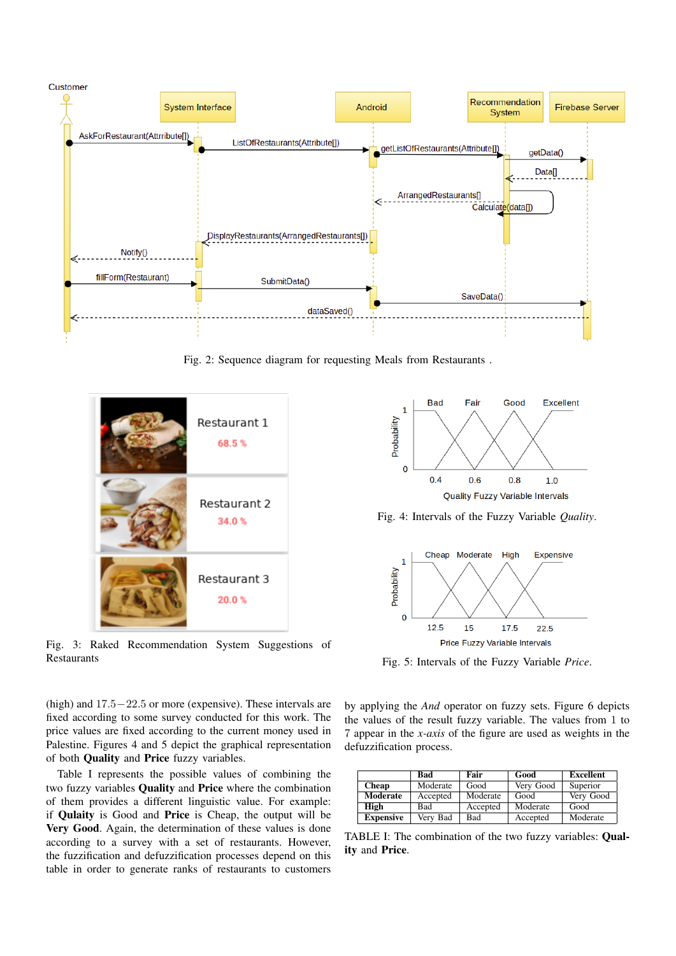

Fig. 2: Sequence diagram for requesting Meals from Restaurants .



Fig. 3: Raked Recommendation System Suggestions of Restaurants

(high) and 17.5−22.5 or more (expensive). These intervals are fixed according to some survey conducted for this work. The price values are fixed according to the current money used in Palestine. Figures 4 and 5 depict the graphical representation of both Quality and Price fuzzy variables.

Table I represents the possible values of combining the two fuzzy variables Quality and Price where the combination of them provides a different linguistic value. For example: if Qulaity is Good and Price is Cheap, the output will be Very Good. Again, the determination of these values is done according to a survey with a set of restaurants. However, the fuzzification and defuzzification processes depend on this table in order to generate ranks of restaurants to customers



Fig. 4: Intervals of the Fuzzy Variable *Quality*.



Fig. 5: Intervals of the Fuzzy Variable *Price*.

by applying the *And* operator on fuzzy sets. Figure 6 depicts the values of the result fuzzy variable. The values from 1 to 7 appear in the *x-axis* of the figure are used as weights in the defuzzification process.

|                  | <b>Bad</b> | Fair       | Good      | <b>Excellent</b> |
|------------------|------------|------------|-----------|------------------|
| <b>Cheap</b>     | Moderate   | Good       | Very Good | Superior         |
| Moderate         | Accepted   | Moderate   | Good      | Very Good        |
| High             | Bad        | Accepted   | Moderate  | Good             |
| <b>Expensive</b> | Very Bad   | <b>Bad</b> | Accepted  | Moderate         |

TABLE I: The combination of the two fuzzy variables: Quality and Price.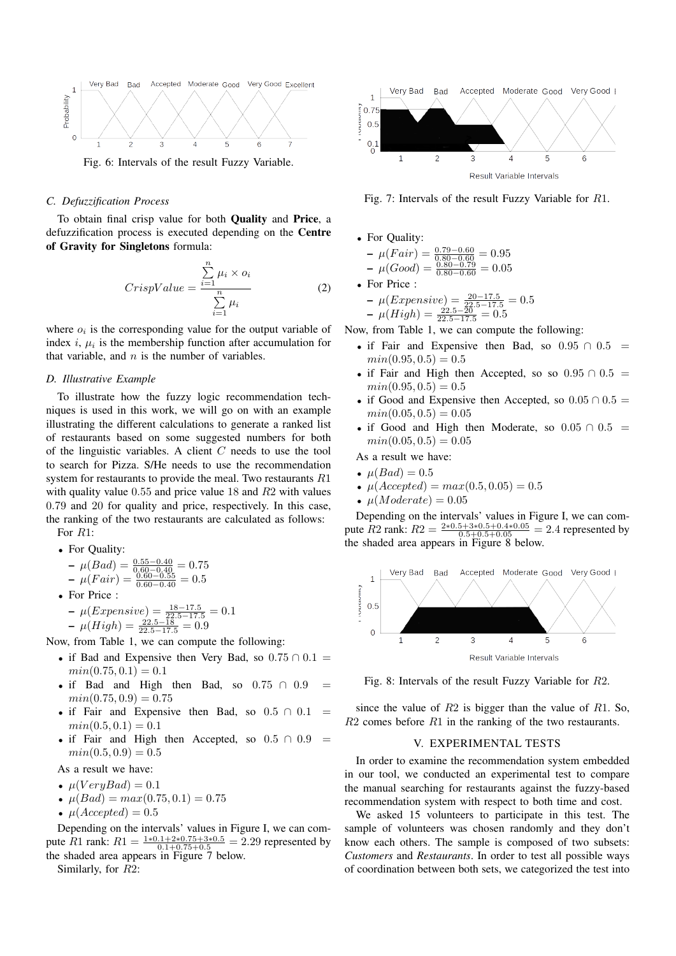

Fig. 6: Intervals of the result Fuzzy Variable.

# *C. Defuzzification Process*

To obtain final crisp value for both Quality and Price, a defuzzification process is executed depending on the Centre of Gravity for Singletons formula:

$$
CrispValue = \frac{\sum_{i=1}^{n} \mu_i \times o_i}{\sum_{i=1}^{n} \mu_i}
$$
 (2)

where  $o_i$  is the corresponding value for the output variable of index  $i, \mu_i$  is the membership function after accumulation for that variable, and  $n$  is the number of variables.

## *D. Illustrative Example*

To illustrate how the fuzzy logic recommendation techniques is used in this work, we will go on with an example illustrating the different calculations to generate a ranked list of restaurants based on some suggested numbers for both of the linguistic variables. A client C needs to use the tool to search for Pizza. S/He needs to use the recommendation system for restaurants to provide the meal. Two restaurants R1 with quality value 0.55 and price value 18 and R2 with values 0.79 and 20 for quality and price, respectively. In this case, the ranking of the two restaurants are calculated as follows: For R1:

• For Quality:

$$
-\mu(Bad) = \frac{0.55 - 0.40}{0.60 - 0.40} = 0.75
$$
  

$$
-\mu(Fair) = \frac{0.60 - 0.55}{0.60 - 0.40} = 0.5
$$

- For Price :
	- $-\mu(Expensive) = \frac{18-17.5}{22.5-17.5} = 0.1$  $-\mu(High) = \frac{22.5 - 18}{22.5 - 17.5} = 0.9$

Now, from Table 1, we can compute the following:

- if Bad and Expensive then Very Bad, so  $0.75 \cap 0.1$  =  $min(0.75, 0.1) = 0.1$
- if Bad and High then Bad, so  $0.75 \cap 0.9$  $min(0.75, 0.9) = 0.75$
- if Fair and Expensive then Bad, so  $0.5 \cap 0.1$  $min(0.5, 0.1) = 0.1$
- if Fair and High then Accepted, so  $0.5 \cap 0.9$  =  $min(0.5, 0.9) = 0.5$

As a result we have:

- $\mu(VeryBad) = 0.1$
- $\mu(Bad) = max(0.75, 0.1) = 0.75$
- $\mu(Accepted) = 0.5$

Depending on the intervals' values in Figure I, we can compute R1 rank:  $R1 = \frac{1*0.1+2*0.75+3*0.5}{0.1+0.75+0.5} = 2.29$  represented by the shaded area appears in Figure 7 below.

Similarly, for R2:



Fig. 7: Intervals of the result Fuzzy Variable for R1.

• For Quality:

$$
-\mu(Fair) = \frac{0.79 - 0.60}{0.80 - 0.79} = 0.95
$$
  

$$
-\mu(Good) = \frac{0.80 - 0.79}{0.80 - 0.60} = 0.05
$$

• For Price :

- 
$$
\mu(Expression)
$$
 =  $\frac{20-17.5}{22.5-17.5}$  = 0.5

- 
$$
\mu(High) = \frac{22.5 - \overline{20}}{22.5 - 17.5} = 0.5
$$

Now, from Table 1, we can compute the following:

- if Fair and Expensive then Bad, so  $0.95 \cap 0.5$  =  $min(0.95, 0.5) = 0.5$
- if Fair and High then Accepted, so so  $0.95 \cap 0.5$  =  $min(0.95, 0.5) = 0.5$
- if Good and Expensive then Accepted, so  $0.05 \cap 0.5 =$  $min(0.05, 0.5) = 0.05$
- if Good and High then Moderate, so  $0.05 \cap 0.5$  =  $min(0.05, 0.5) = 0.05$
- As a result we have:
- $\mu(Bad) = 0.5$
- $\mu(Accepted) = max(0.5, 0.05) = 0.5$
- $\mu(Moderate) = 0.05$

Depending on the intervals' values in Figure I, we can compute R2 rank:  $R2 = \frac{2*0.5+3*0.5+0.4*0.05}{0.5+0.5+0.05} = 2.4$  represented by the shaded area appears in Figure 8 below.



Fig. 8: Intervals of the result Fuzzy Variable for R2.

since the value of  $R2$  is bigger than the value of  $R1$ . So,  $R2$  comes before  $R1$  in the ranking of the two restaurants.

#### V. EXPERIMENTAL TESTS

In order to examine the recommendation system embedded in our tool, we conducted an experimental test to compare the manual searching for restaurants against the fuzzy-based recommendation system with respect to both time and cost.

We asked 15 volunteers to participate in this test. The sample of volunteers was chosen randomly and they don't know each others. The sample is composed of two subsets: *Customers* and *Restaurants*. In order to test all possible ways of coordination between both sets, we categorized the test into